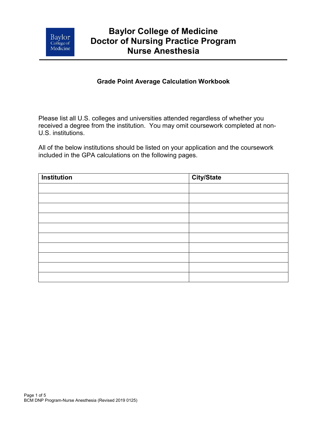

# **Baylor College of Medicine Doctor of Nursing Practice Program Nurse Anesthesia**

## **Grade Point Average Calculation Workbook**

Please list all U.S. colleges and universities attended regardless of whether you received a degree from the institution. You may omit coursework completed at non-U.S. institutions.

All of the below institutions should be listed on your application and the coursework included in the GPA calculations on the following pages.

| <b>Institution</b> | City/State |
|--------------------|------------|
|                    |            |
|                    |            |
|                    |            |
|                    |            |
|                    |            |
|                    |            |
|                    |            |
|                    |            |
|                    |            |
|                    |            |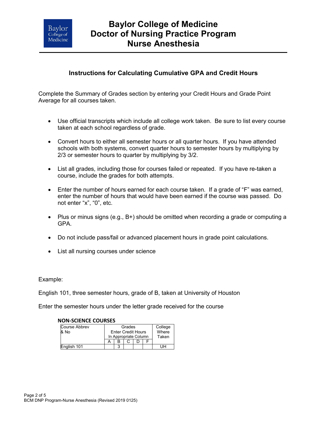

# **Baylor College of Medicine Doctor of Nursing Practice Program Nurse Anesthesia**

## **Instructions for Calculating Cumulative GPA and Credit Hours**

Complete the Summary of Grades section by entering your Credit Hours and Grade Point Average for all courses taken.

- Use official transcripts which include all college work taken. Be sure to list every course taken at each school regardless of grade.
- Convert hours to either all semester hours or all quarter hours. If you have attended schools with both systems, convert quarter hours to semester hours by multiplying by 2/3 or semester hours to quarter by multiplying by 3/2.
- List all grades, including those for courses failed or repeated. If you have re-taken a course, include the grades for both attempts.
- Enter the number of hours earned for each course taken. If a grade of "F" was earned, enter the number of hours that would have been earned if the course was passed. Do not enter "x", "0", etc.
- Plus or minus signs (e.g., B+) should be omitted when recording a grade or computing a GPA.
- Do not include pass/fail or advanced placement hours in grade point calculations.
- List all nursing courses under science

Example:

English 101, three semester hours, grade of B, taken at University of Houston

Enter the semester hours under the letter grade received for the course

| NUN-SLIENLE LUUKSES  |  |                           |  |  |  |         |
|----------------------|--|---------------------------|--|--|--|---------|
| <b>Course Abbrev</b> |  | Grades                    |  |  |  | College |
| & No                 |  | <b>Enter Credit Hours</b> |  |  |  | Where   |
|                      |  | In Appropriate Column     |  |  |  | Taken   |
|                      |  |                           |  |  |  |         |
| English 101          |  | ົ                         |  |  |  |         |

### **NON-SCIENCE COURSES**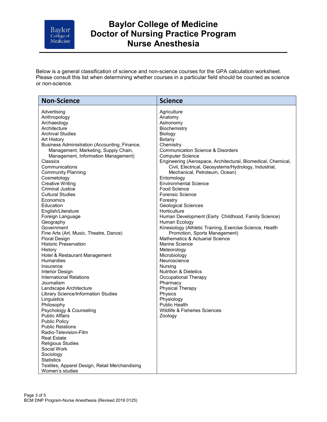

# **Baylor College of Medicine Doctor of Nursing Practice Program Nurse Anesthesia**

Below is a general classification of science and non-science courses for the GPA calculation worksheet. Please consult this list when determining whether courses in a particular field should be counted as science or non-science.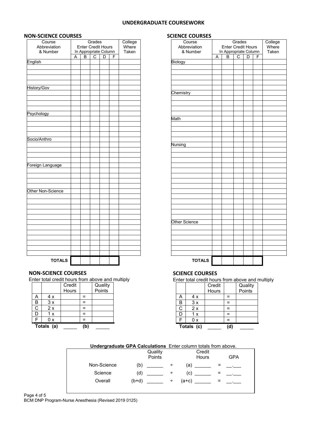#### **UNDERGRADUATE COURSEWORK**

**SCIENCE COURSES**

#### **NON-SCIENCE COURSES**

| Course                   | Grades |                                                    |   |   | College |                |
|--------------------------|--------|----------------------------------------------------|---|---|---------|----------------|
| Abbreviation<br>& Number |        | <b>Enter Credit Hours</b><br>In Appropriate Column |   |   |         | Where<br>Taken |
|                          | A      | B                                                  | C | D | F       |                |
| English                  |        |                                                    |   |   |         |                |
|                          |        |                                                    |   |   |         |                |
|                          |        |                                                    |   |   |         |                |
|                          |        |                                                    |   |   |         |                |
| History/Gov              |        |                                                    |   |   |         |                |
|                          |        |                                                    |   |   |         |                |
|                          |        |                                                    |   |   |         |                |
|                          |        |                                                    |   |   |         |                |
| Psychology               |        |                                                    |   |   |         |                |
|                          |        |                                                    |   |   |         |                |
|                          |        |                                                    |   |   |         |                |
|                          |        |                                                    |   |   |         |                |
|                          |        |                                                    |   |   |         |                |
| Socio/Anthro             |        |                                                    |   |   |         |                |
|                          |        |                                                    |   |   |         |                |
|                          |        |                                                    |   |   |         |                |
|                          |        |                                                    |   |   |         |                |
| Foreign Language         |        |                                                    |   |   |         |                |
|                          |        |                                                    |   |   |         |                |
|                          |        |                                                    |   |   |         |                |
|                          |        |                                                    |   |   |         |                |
| Other Non-Science        |        |                                                    |   |   |         |                |
|                          |        |                                                    |   |   |         |                |
|                          |        |                                                    |   |   |         |                |
|                          |        |                                                    |   |   |         |                |
|                          |        |                                                    |   |   |         |                |
|                          |        |                                                    |   |   |         |                |
|                          |        |                                                    |   |   |         |                |
|                          |        |                                                    |   |   |         |                |
|                          |        |                                                    |   |   |         |                |
|                          |        |                                                    |   |   |         |                |
|                          |        |                                                    |   |   |         |                |
|                          |        |                                                    |   |   |         |                |
| <b>TOTALS</b>            |        |                                                    |   |   |         |                |

| Course        |   |                           | Grades |   |   | College |
|---------------|---|---------------------------|--------|---|---|---------|
| Abbreviation  |   | <b>Enter Credit Hours</b> |        |   |   | Where   |
| & Number      |   | In Appropriate Column     |        |   |   | Taken   |
|               | A | B                         | C      | D | F |         |
| Biology       |   |                           |        |   |   |         |
|               |   |                           |        |   |   |         |
|               |   |                           |        |   |   |         |
|               |   |                           |        |   |   |         |
|               |   |                           |        |   |   |         |
| Chemistry     |   |                           |        |   |   |         |
|               |   |                           |        |   |   |         |
|               |   |                           |        |   |   |         |
|               |   |                           |        |   |   |         |
|               |   |                           |        |   |   |         |
| Math          |   |                           |        |   |   |         |
|               |   |                           |        |   |   |         |
|               |   |                           |        |   |   |         |
|               |   |                           |        |   |   |         |
|               |   |                           |        |   |   |         |
| Nursing       |   |                           |        |   |   |         |
|               |   |                           |        |   |   |         |
|               |   |                           |        |   |   |         |
|               |   |                           |        |   |   |         |
|               |   |                           |        |   |   |         |
|               |   |                           |        |   |   |         |
|               |   |                           |        |   |   |         |
|               |   |                           |        |   |   |         |
|               |   |                           |        |   |   |         |
|               |   |                           |        |   |   |         |
|               |   |                           |        |   |   |         |
|               |   |                           |        |   |   |         |
|               |   |                           |        |   |   |         |
|               |   |                           |        |   |   |         |
| Other Science |   |                           |        |   |   |         |
|               |   |                           |        |   |   |         |
|               |   |                           |        |   |   |         |
|               |   |                           |        |   |   |         |
|               |   |                           |        |   |   |         |
|               |   |                           |        |   |   |         |
|               |   |                           |        |   |   |         |
| <b>TOTALS</b> |   |                           |        |   |   |         |
|               |   |                           |        |   |   |         |

### **NON-SCIENCE COURSES**

Enter total credit hours from above and multiply

|   |            | Credit |     | Quality |
|---|------------|--------|-----|---------|
|   |            | Hours  |     | Points  |
|   | 4 x        |        |     |         |
| B | 3x         |        |     |         |
| С | 2x         |        |     |         |
| D | 1x         |        |     |         |
| E | 0 x        |        |     |         |
|   | Totals (a) |        | ďb. |         |

#### **SCIENCE COURSES**

Enter total credit hours from above and multiply

|   |            | Credit<br>Hours |          | Quality<br>Points |
|---|------------|-----------------|----------|-------------------|
| А | 4x         |                 | ⋍        |                   |
| B | 3x         |                 | $=$      |                   |
| С | 2x         |                 | =        |                   |
| D | 1x         |                 | $\equiv$ |                   |
| F | 0x         |                 | $=$      |                   |
|   | Totals (c) |                 | (d)      |                   |

#### **Undergraduate GPA Calculations** Enter column totals from above.

|             | Quality<br>Points | Credit<br>Hours | <b>GPA</b> |
|-------------|-------------------|-----------------|------------|
| Non-Science | (b)<br>÷          | (a)             | ⋍          |
| Science     | (d)<br>÷          | (c)             |            |
| Overall     | $(b+d)$<br>$\div$ | $(a+c)$         |            |
|             |                   |                 |            |

BCM DNP Program-Nurse Anesthesia (Revised 2019 0125)